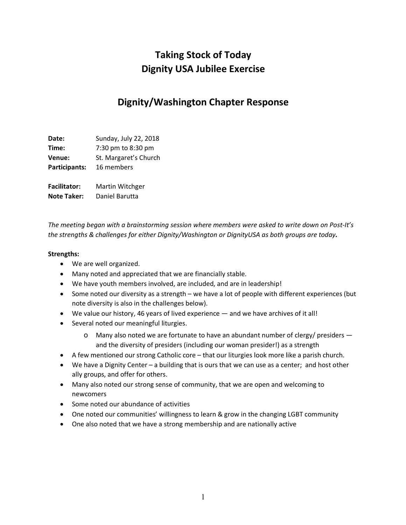# **Taking Stock of Today Dignity USA Jubilee Exercise**

## **Dignity/Washington Chapter Response**

**Date:** Sunday, July 22, 2018 **Time:** 7:30 pm to 8:30 pm **Venue:** St. Margaret's Church **Participants:** 16 members **Facilitator:** Martin Witchger **Note Taker:** Daniel Barutta

*The meeting began with a brainstorming session where members were asked to write down on Post-It's the strengths & challenges for either Dignity/Washington or DignityUSA as both groups are today.*

#### **Strengths:**

- We are well organized.
- Many noted and appreciated that we are financially stable.
- We have youth members involved, are included, and are in leadership!
- Some noted our diversity as a strength we have a lot of people with different experiences (but note diversity is also in the challenges below).
- We value our history, 46 years of lived experience and we have archives of it all!
- Several noted our meaningful liturgies.
	- o Many also noted we are fortunate to have an abundant number of clergy/ presiders and the diversity of presiders (including our woman presider!) as a strength
- A few mentioned our strong Catholic core that our liturgies look more like a parish church.
- We have a Dignity Center a building that is ours that we can use as a center; and host other ally groups, and offer for others.
- Many also noted our strong sense of community, that we are open and welcoming to newcomers
- Some noted our abundance of activities
- One noted our communities' willingness to learn & grow in the changing LGBT community
- One also noted that we have a strong membership and are nationally active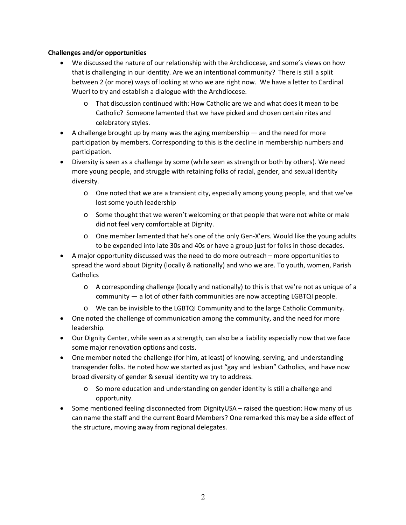#### **Challenges and/or opportunities**

- We discussed the nature of our relationship with the Archdiocese, and some's views on how that is challenging in our identity. Are we an intentional community? There is still a split between 2 (or more) ways of looking at who we are right now. We have a letter to Cardinal Wuerl to try and establish a dialogue with the Archdiocese.
	- o That discussion continued with: How Catholic are we and what does it mean to be Catholic? Someone lamented that we have picked and chosen certain rites and celebratory styles.
- A challenge brought up by many was the aging membership and the need for more participation by members. Corresponding to this is the decline in membership numbers and participation.
- Diversity is seen as a challenge by some (while seen as strength or both by others). We need more young people, and struggle with retaining folks of racial, gender, and sexual identity diversity.
	- o One noted that we are a transient city, especially among young people, and that we've lost some youth leadership
	- o Some thought that we weren't welcoming or that people that were not white or male did not feel very comfortable at Dignity.
	- o One member lamented that he's one of the only Gen-X'ers. Would like the young adults to be expanded into late 30s and 40s or have a group just for folks in those decades.
- A major opportunity discussed was the need to do more outreach more opportunities to spread the word about Dignity (locally & nationally) and who we are. To youth, women, Parish **Catholics** 
	- o A corresponding challenge (locally and nationally) to this is that we're not as unique of a community — a lot of other faith communities are now accepting LGBTQI people.
	- o We can be invisible to the LGBTQI Community and to the large Catholic Community.
- One noted the challenge of communication among the community, and the need for more leadership.
- Our Dignity Center, while seen as a strength, can also be a liability especially now that we face some major renovation options and costs.
- One member noted the challenge (for him, at least) of knowing, serving, and understanding transgender folks. He noted how we started as just "gay and lesbian" Catholics, and have now broad diversity of gender & sexual identity we try to address.
	- o So more education and understanding on gender identity is still a challenge and opportunity.
- Some mentioned feeling disconnected from DignityUSA raised the question: How many of us can name the staff and the current Board Members? One remarked this may be a side effect of the structure, moving away from regional delegates.